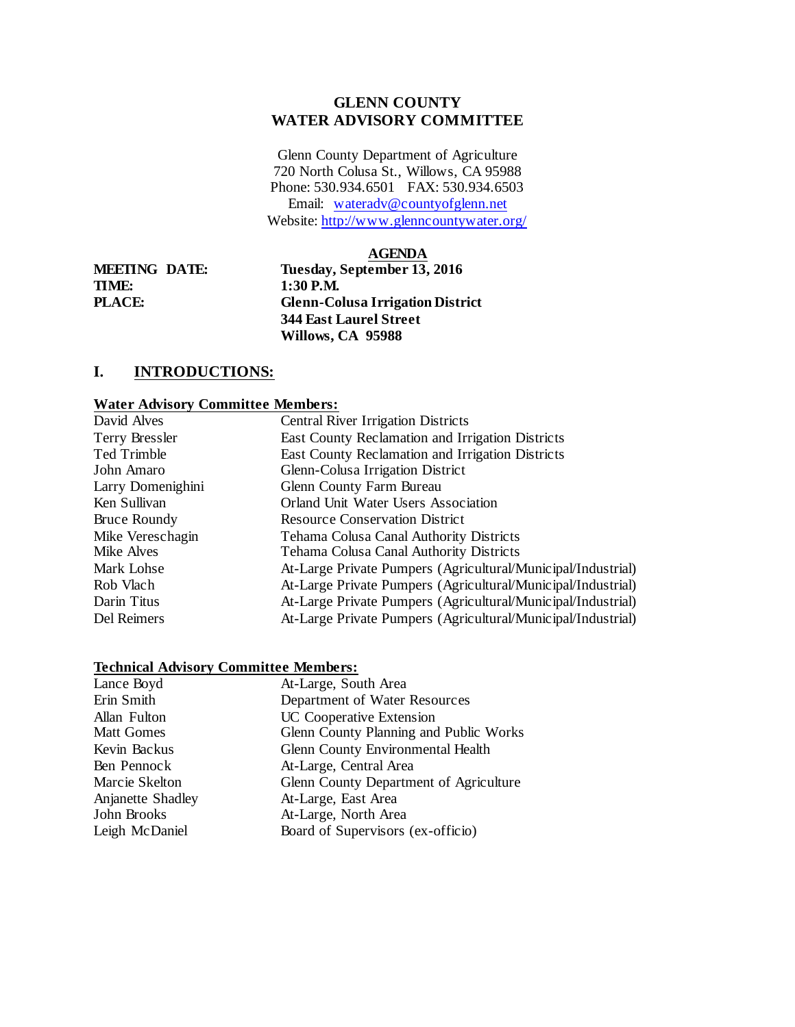### **GLENN COUNTY WATER ADVISORY COMMITTEE**

Glenn County Department of Agriculture 720 North Colusa St., Willows, CA 95988 Phone: 530.934.6501 FAX: 530.934.6503 Email: [wateradv@countyofglenn.net](mailto:wateradv@countyofglenn.net) Website: <http://www.glenncountywater.org/>

#### **AGENDA**

**TIME: 1:30 P.M.** 

**MEETING DATE: Tuesday, September 13, 2016 PLACE: Glenn-Colusa Irrigation District 344 East Laurel Street Willows, CA 95988**

## **I. INTRODUCTIONS:**

#### **Water Advisory Committee Members:**

| David Alves         | <b>Central River Irrigation Districts</b>                    |
|---------------------|--------------------------------------------------------------|
| Terry Bressler      | East County Reclamation and Irrigation Districts             |
| Ted Trimble         | East County Reclamation and Irrigation Districts             |
| John Amaro          | Glenn-Colusa Irrigation District                             |
| Larry Domenighini   | Glenn County Farm Bureau                                     |
| Ken Sullivan        | Orland Unit Water Users Association                          |
| <b>Bruce Roundy</b> | <b>Resource Conservation District</b>                        |
| Mike Vereschagin    | Tehama Colusa Canal Authority Districts                      |
| Mike Alves          | Tehama Colusa Canal Authority Districts                      |
| Mark Lohse          | At-Large Private Pumpers (Agricultural/Municipal/Industrial) |
| Rob Vlach           | At-Large Private Pumpers (Agricultural/Municipal/Industrial) |
| Darin Titus         | At-Large Private Pumpers (Agricultural/Municipal/Industrial) |
| Del Reimers         | At-Large Private Pumpers (Agricultural/Municipal/Industrial) |
|                     |                                                              |

#### **Technical Advisory Committee Members:**

| Lance Boyd        | At-Large, South Area                   |
|-------------------|----------------------------------------|
| Erin Smith        | Department of Water Resources          |
| Allan Fulton      | UC Cooperative Extension               |
| <b>Matt Gomes</b> | Glenn County Planning and Public Works |
| Kevin Backus      | Glenn County Environmental Health      |
| Ben Pennock       | At-Large, Central Area                 |
| Marcie Skelton    | Glenn County Department of Agriculture |
| Anjanette Shadley | At-Large, East Area                    |
| John Brooks       | At-Large, North Area                   |
| Leigh McDaniel    | Board of Supervisors (ex-officio)      |